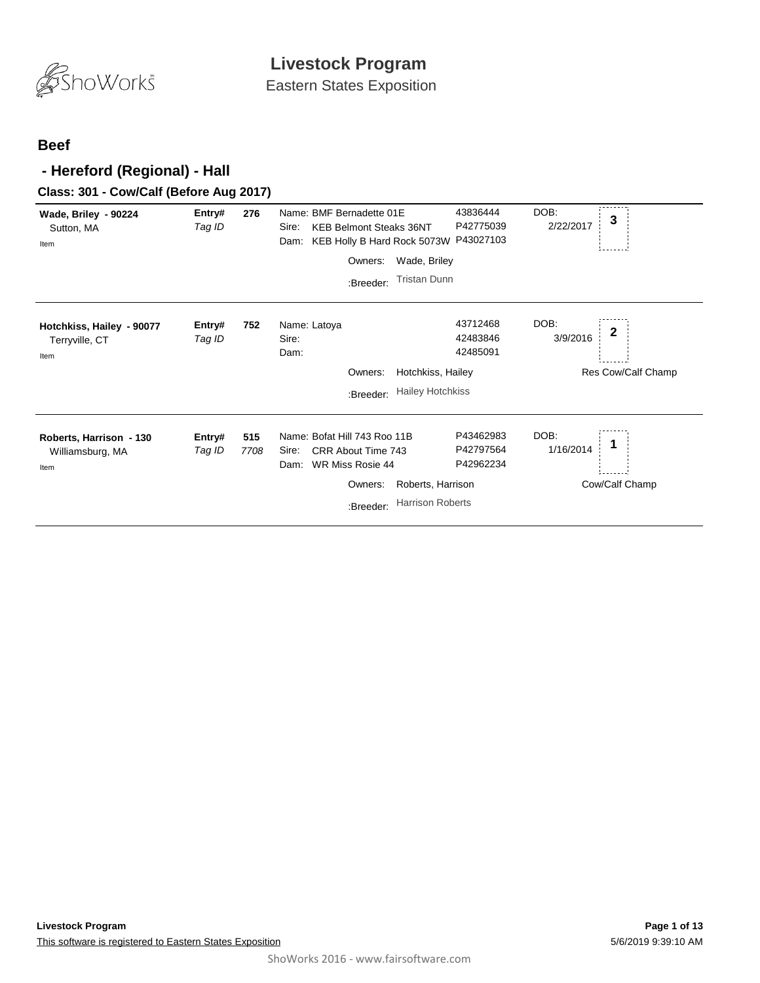

Eastern States Exposition

#### **Beef**

## **- Hereford (Regional) - Hall**

#### **Class: 301 - Cow/Calf (Before Aug 2017)**

| Wade, Briley - 90224<br>Sutton, MA<br>Item          | Entry#<br>Tag ID | 276         | Name: BMF Bernadette 01E<br><b>KEB Belmont Steaks 36NT</b><br>Sire:<br>KEB Holly B Hard Rock 5073W P43027103<br>Dam:                                            | 43836444<br>P42775039               | DOB:<br>3<br>2/22/2017                   |
|-----------------------------------------------------|------------------|-------------|-----------------------------------------------------------------------------------------------------------------------------------------------------------------|-------------------------------------|------------------------------------------|
|                                                     |                  |             | Wade, Briley<br>Owners:                                                                                                                                         |                                     |                                          |
|                                                     |                  |             | <b>Tristan Dunn</b><br>:Breeder:                                                                                                                                |                                     |                                          |
| Hotchkiss, Hailey - 90077<br>Terryville, CT<br>Item | Entry#<br>Tag ID | 752         | Name: Latoya<br>Sire:<br>Dam:                                                                                                                                   | 43712468<br>42483846<br>42485091    | DOB:<br>$\mathbf{2}$<br>3/9/2016         |
|                                                     |                  |             | Hotchkiss, Hailey<br>Owners:                                                                                                                                    |                                     | Res Cow/Calf Champ                       |
|                                                     |                  |             | <b>Hailey Hotchkiss</b><br>:Breeder:                                                                                                                            |                                     |                                          |
| Roberts, Harrison - 130<br>Williamsburg, MA<br>Item | Entry#<br>Tag ID | 515<br>7708 | Name: Bofat Hill 743 Roo 11B<br>CRR About Time 743<br>Sire:<br>WR Miss Rosie 44<br>Dam:<br>Owners:<br>Roberts, Harrison<br><b>Harrison Roberts</b><br>:Breeder: | P43462983<br>P42797564<br>P42962234 | DOB:<br>1<br>1/16/2014<br>Cow/Calf Champ |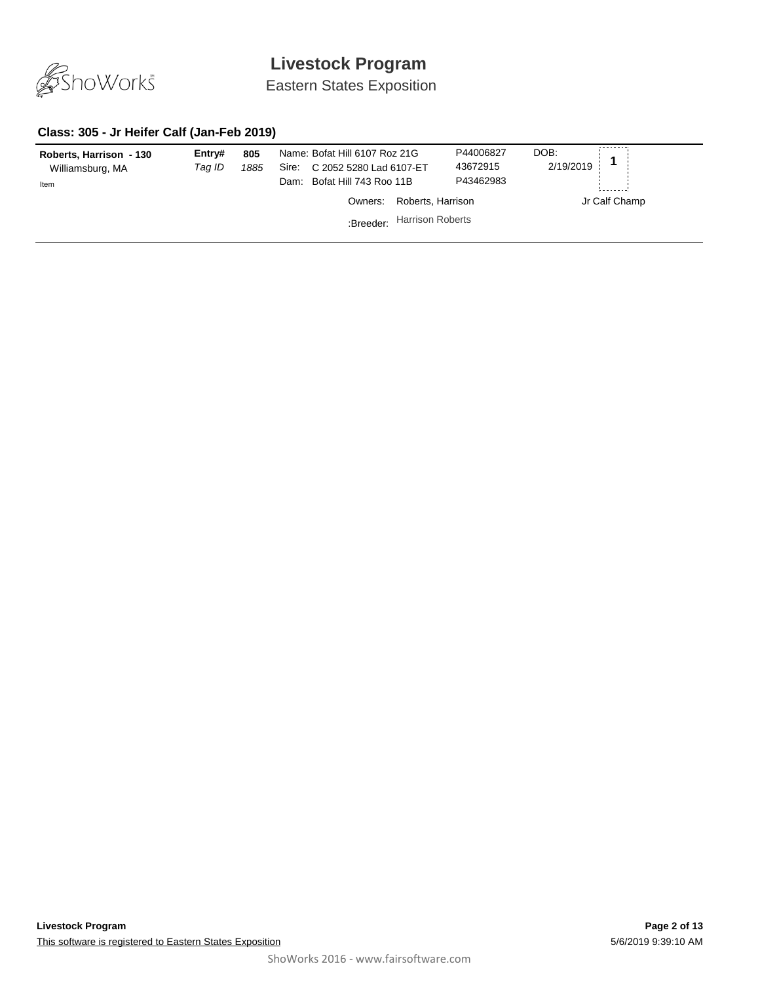

Eastern States Exposition

#### **Class: 305 - Jr Heifer Calf (Jan-Feb 2019)**

| Roberts, Harrison - 130<br>Williamsburg, MA<br>Item | Entry#<br>Taq ID | 805<br>1885 | Name: Bofat Hill 6107 Roz 21G<br>C 2052 5280 Lad 6107-ET<br>Sire:<br>Bofat Hill 743 Roo 11B<br>Dam: | P44006827<br>43672915<br>P43462983 | DOB:<br>$\pm$ 1<br>2/19/2019 |
|-----------------------------------------------------|------------------|-------------|-----------------------------------------------------------------------------------------------------|------------------------------------|------------------------------|
|                                                     |                  |             | Roberts, Harrison<br>Owners:                                                                        |                                    | Jr Calf Champ                |
|                                                     |                  |             | :Breeder: Harrison Roberts                                                                          |                                    |                              |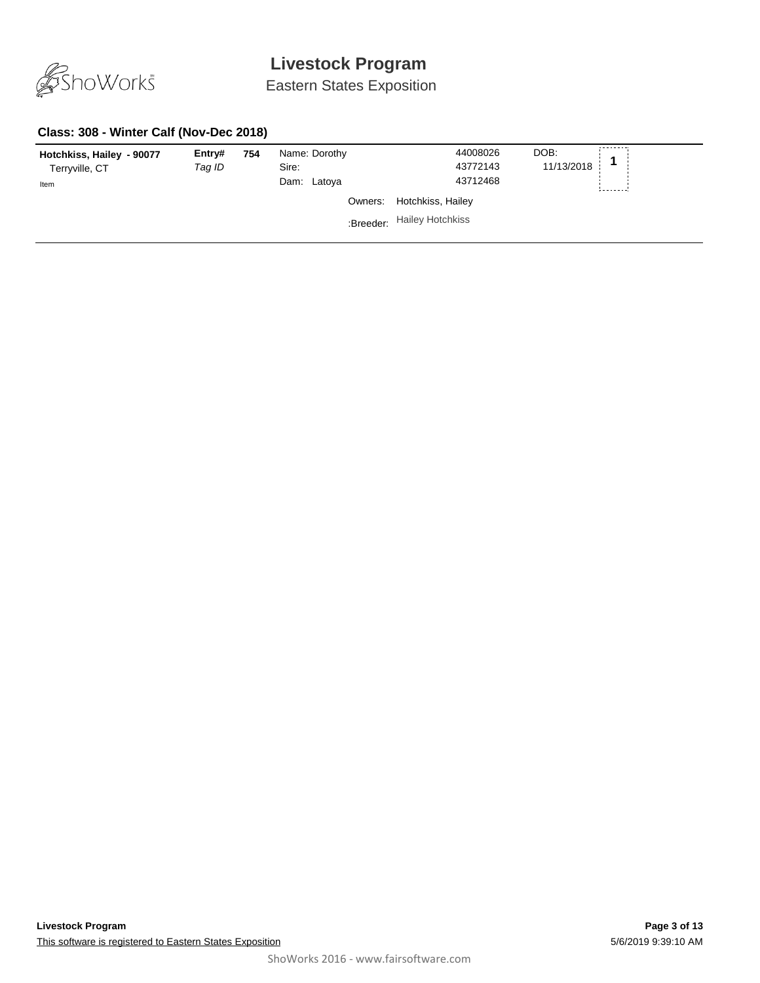

Eastern States Exposition

#### **Class: 308 - Winter Calf (Nov-Dec 2018)**

| Hotchkiss, Hailey - 90077<br>Terryville, CT<br>Item | Entry#<br>Tag ID | 754 | Name: Dorothy<br>Sire:<br>Dam: Latoya |         | 44008026<br>43772143<br>43712468 | DOB:<br>11/13/2018 |  |
|-----------------------------------------------------|------------------|-----|---------------------------------------|---------|----------------------------------|--------------------|--|
|                                                     |                  |     |                                       | Owners: | Hotchkiss, Hailey                |                    |  |
|                                                     |                  |     |                                       |         | :Breeder: Hailey Hotchkiss       |                    |  |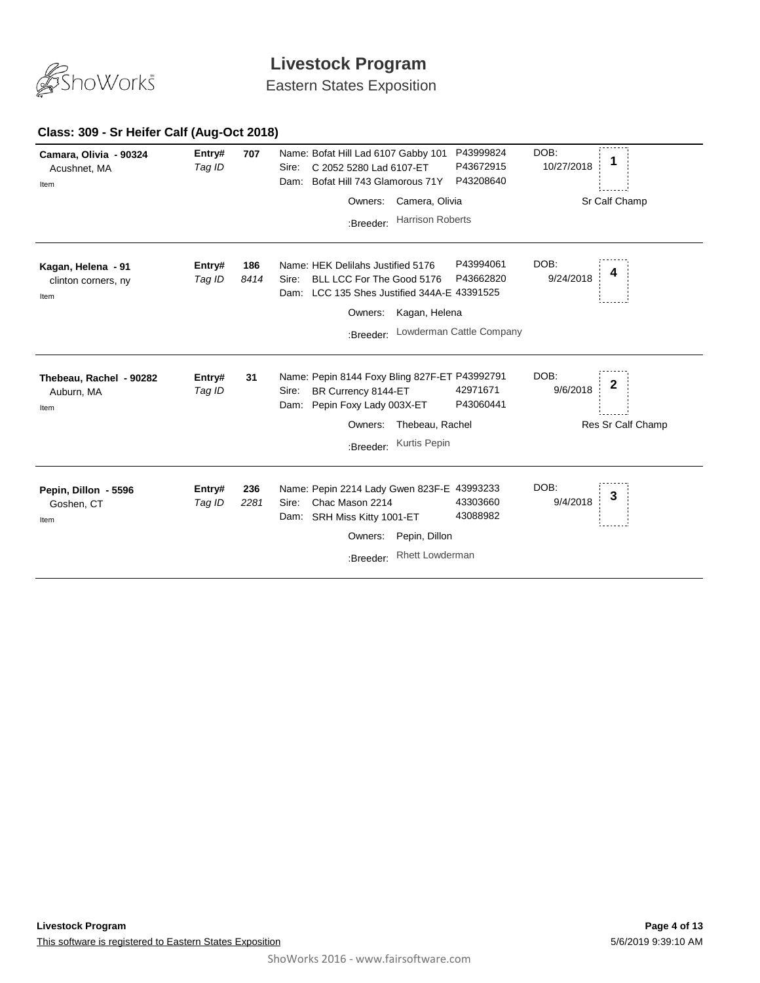

Eastern States Exposition

| Camara, Olivia - 90324<br>Acushnet, MA<br>Item    | Entry#<br>Tag ID | 707         | P43999824<br>Name: Bofat Hill Lad 6107 Gabby 101<br>P43672915<br>C 2052 5280 Lad 6107-ET<br>Sire:<br>P43208640<br>Bofat Hill 743 Glamorous 71Y<br>Dam:<br>Owners:<br>Camera, Olivia<br><b>Harrison Roberts</b><br>:Breeder: | DOB:<br>1<br>10/27/2018<br>Sr Calf Champ   |
|---------------------------------------------------|------------------|-------------|-----------------------------------------------------------------------------------------------------------------------------------------------------------------------------------------------------------------------------|--------------------------------------------|
| Kagan, Helena - 91<br>clinton corners, ny<br>Item | Entry#<br>Tag ID | 186<br>8414 | P43994061<br>Name: HEK Delilahs Justified 5176<br>P43662820<br>BLL LCC For The Good 5176<br>Sire:<br>LCC 135 Shes Justified 344A-E 43391525<br>Dam:<br>Kagan, Helena<br>Owners:<br>Lowderman Cattle Company<br>:Breeder:    | DOB:<br>4<br>9/24/2018                     |
| Thebeau, Rachel - 90282<br>Auburn, MA<br>Item     | Entry#<br>Tag ID | 31          | Name: Pepin 8144 Foxy Bling 827F-ET P43992791<br>42971671<br>BR Currency 8144-ET<br>Sire:<br>P43060441<br>Dam: Pepin Foxy Lady 003X-ET<br>Thebeau, Rachel<br>Owners:<br>Kurtis Pepin<br>:Breeder:                           | DOB:<br>2<br>9/6/2018<br>Res Sr Calf Champ |
| Pepin, Dillon - 5596<br>Goshen, CT<br>Item        | Entry#<br>Tag ID | 236<br>2281 | Name: Pepin 2214 Lady Gwen 823F-E 43993233<br>43303660<br>Chac Mason 2214<br>Sire:<br>43088982<br>Dam: SRH Miss Kitty 1001-ET<br>Owners:<br>Pepin, Dillon<br><b>Rhett Lowderman</b><br>:Breeder:                            | DOB:<br>3<br>9/4/2018                      |

#### **Class: 309 - Sr Heifer Calf (Aug-Oct 2018)**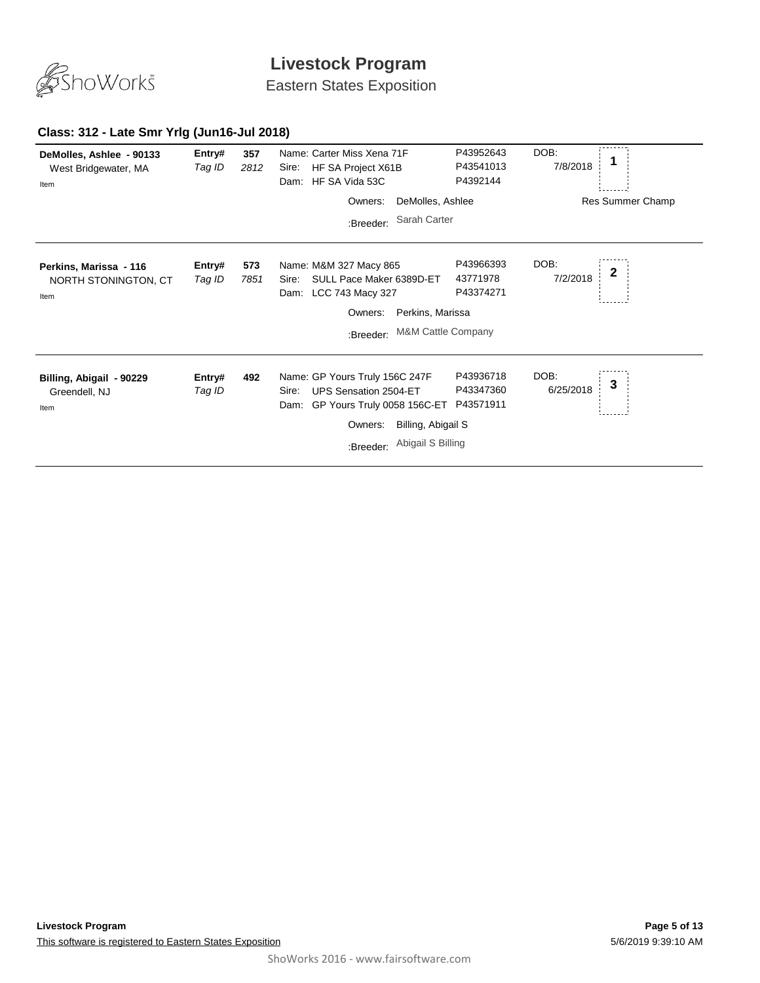

Eastern States Exposition

## **Class: 312 - Late Smr Yrlg (Jun16-Jul 2018)**

| DeMolles, Ashlee - 90133<br>West Bridgewater, MA<br>Item | Entry#<br>Tag ID | 357<br>2812 | Name: Carter Miss Xena 71F<br>HF SA Project X61B<br>Sire:<br>HF SA Vida 53C<br>Dam:                                                                                        | P43952643<br>P43541013<br>P4392144  | DOB:<br>7/8/2018  |                  |
|----------------------------------------------------------|------------------|-------------|----------------------------------------------------------------------------------------------------------------------------------------------------------------------------|-------------------------------------|-------------------|------------------|
|                                                          |                  |             | DeMolles, Ashlee<br>Owners:                                                                                                                                                |                                     |                   | Res Summer Champ |
|                                                          |                  |             | Sarah Carter<br>:Breeder:                                                                                                                                                  |                                     |                   |                  |
| Perkins, Marissa - 116<br>NORTH STONINGTON, CT<br>Item   | Entry#<br>Tag ID | 573<br>7851 | Name: M&M 327 Macy 865<br>SULL Pace Maker 6389D-ET<br>Sire:<br>LCC 743 Macy 327<br>Dam:<br>Perkins, Marissa<br>Owners:                                                     | P43966393<br>43771978<br>P43374271  | DOB:<br>7/2/2018  | 2                |
|                                                          |                  |             | M&M Cattle Company<br>:Breeder:                                                                                                                                            |                                     |                   |                  |
| Billing, Abigail - 90229<br>Greendell, NJ<br>Item        | Entry#<br>Tag ID | 492         | Name: GP Yours Truly 156C 247F<br>UPS Sensation 2504-ET<br>Sire:<br>GP Yours Truly 0058 156C-ET<br>Dam:<br>Billing, Abigail S<br>Owners:<br>Abigail S Billing<br>:Breeder: | P43936718<br>P43347360<br>P43571911 | DOB:<br>6/25/2018 | 3                |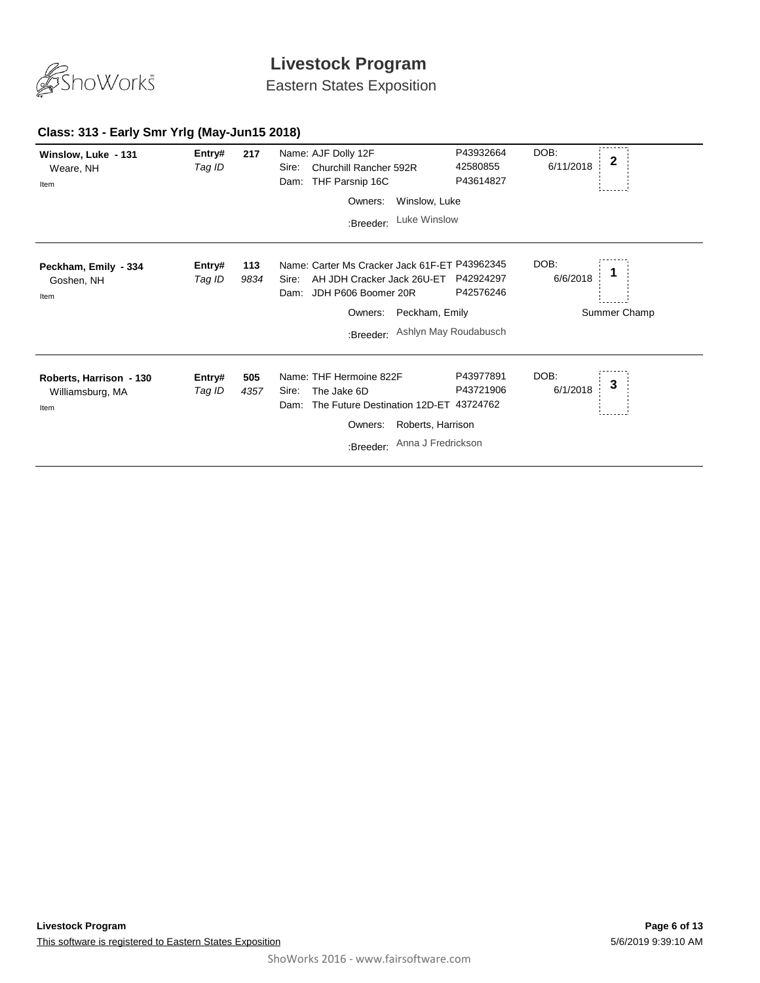

Eastern States Exposition

| Winslow, Luke - 131<br>Weare, NH<br>Item            | Entry#<br>Tag ID | 217         | Name: AJF Dolly 12F<br>Churchill Rancher 592R<br>Sire:<br>THF Parsnip 16C<br>Dam:                                         | P43932664<br>42580855<br>P43614827                                | DOB:<br>2<br>6/11/2018 |
|-----------------------------------------------------|------------------|-------------|---------------------------------------------------------------------------------------------------------------------------|-------------------------------------------------------------------|------------------------|
|                                                     |                  |             | Owners:<br>:Breeder:                                                                                                      | Winslow, Luke<br>Luke Winslow                                     |                        |
| Peckham, Emily - 334<br>Goshen, NH<br>Item          | Entry#<br>Tag ID | 113<br>9834 | Name: Carter Ms Cracker Jack 61F-ET P43962345<br>AH JDH Cracker Jack 26U-ET<br>Sire:<br>JDH P606 Boomer 20R<br>Dam:       | P42924297<br>P42576246                                            | DOB:<br>1<br>6/6/2018  |
|                                                     |                  |             | Owners:<br>:Breeder:                                                                                                      | Peckham, Emily<br>Ashlyn May Roudabusch                           | Summer Champ           |
| Roberts, Harrison - 130<br>Williamsburg, MA<br>Item | Entry#<br>Tag ID | 505<br>4357 | Name: THF Hermoine 822F<br>The Jake 6D<br>Sire:<br>The Future Destination 12D-ET 43724762<br>Dam:<br>Owners:<br>:Breeder: | P43977891<br>P43721906<br>Roberts, Harrison<br>Anna J Fredrickson | DOB:<br>3<br>6/1/2018  |

#### **Class: 313 - Early Smr Yrlg (May-Jun15 2018)**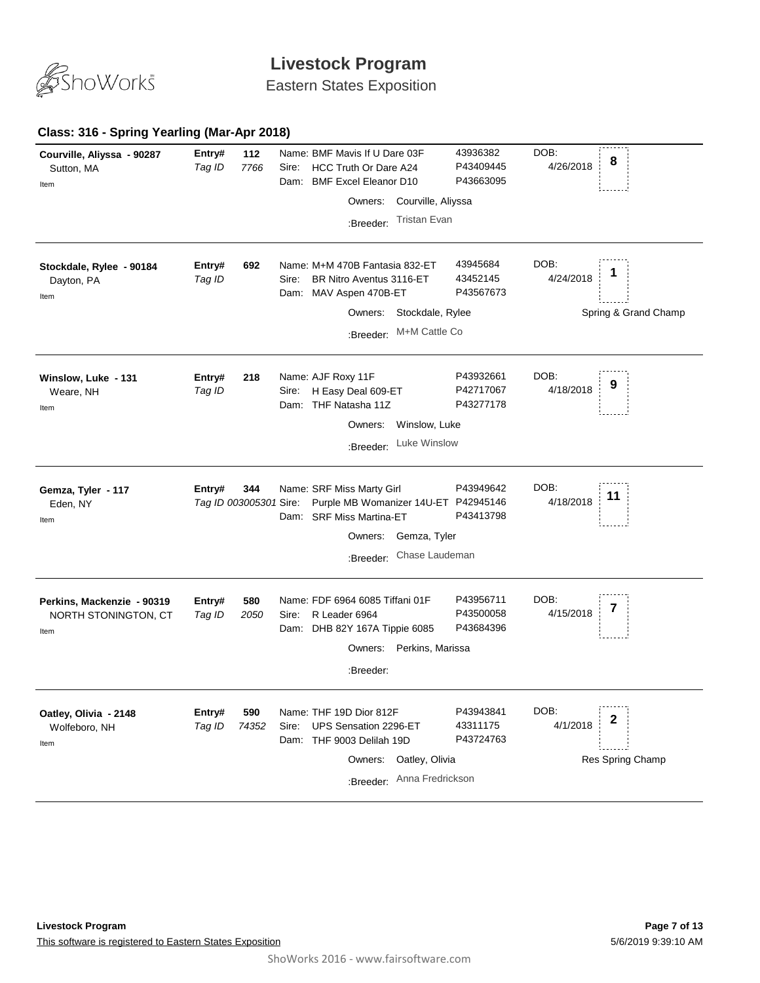

Eastern States Exposition

#### **Class: 316 - Spring Yearling (Mar-Apr 2018)**

| Courville, Aliyssa - 90287<br>Sutton, MA<br>Item           | Entry#<br>Tag ID | 112<br>7766                   | Sire:<br>Dam: | Name: BMF Mavis If U Dare 03F<br>HCC Truth Or Dare A24<br><b>BMF Excel Eleanor D10</b>   | 43936382<br>P43409445<br>P43663095  | DOB:<br>4/26/2018 | 8                    |
|------------------------------------------------------------|------------------|-------------------------------|---------------|------------------------------------------------------------------------------------------|-------------------------------------|-------------------|----------------------|
|                                                            |                  |                               |               | Courville, Aliyssa<br>Owners:<br><b>Tristan Evan</b><br>:Breeder:                        |                                     |                   |                      |
|                                                            |                  |                               |               |                                                                                          |                                     |                   |                      |
| Stockdale, Rylee - 90184<br>Dayton, PA<br>Item             | Entry#<br>Tag ID | 692                           | Sire:<br>Dam: | Name: M+M 470B Fantasia 832-ET<br>BR Nitro Aventus 3116-ET<br>MAV Aspen 470B-ET          | 43945684<br>43452145<br>P43567673   | DOB:<br>4/24/2018 |                      |
|                                                            |                  |                               |               | Stockdale, Rylee<br>Owners:                                                              |                                     |                   | Spring & Grand Champ |
|                                                            |                  |                               |               | M+M Cattle Co<br>:Breeder:                                                               |                                     |                   |                      |
| Winslow, Luke - 131<br>Weare, NH<br>Item                   | Entry#<br>Tag ID | 218                           | Sire:<br>Dam: | Name: AJF Roxy 11F<br>H Easy Deal 609-ET<br>THF Natasha 11Z                              | P43932661<br>P42717067<br>P43277178 | DOB:<br>4/18/2018 | 9                    |
|                                                            |                  |                               |               | Winslow, Luke<br>Owners:                                                                 |                                     |                   |                      |
|                                                            |                  |                               |               | :Breeder: Luke Winslow                                                                   |                                     |                   |                      |
| Gemza, Tyler - 117<br>Eden, NY<br>Item                     | Entry#           | 344<br>Tag ID 003005301 Sire: | Dam:          | Name: SRF Miss Marty Girl<br>Purple MB Womanizer 14U-ET P42945146<br>SRF Miss Martina-ET | P43949642<br>P43413798              | DOB:<br>4/18/2018 | 11                   |
|                                                            |                  |                               |               | Owners:<br>Gemza, Tyler                                                                  |                                     |                   |                      |
|                                                            |                  |                               |               | Chase Laudeman<br>:Breeder:                                                              |                                     |                   |                      |
| Perkins, Mackenzie - 90319<br>NORTH STONINGTON, CT<br>Item | Entry#<br>Tag ID | 580<br>2050                   | Sire:         | Name: FDF 6964 6085 Tiffani 01F<br>R Leader 6964<br>Dam: DHB 82Y 167A Tippie 6085        | P43956711<br>P43500058<br>P43684396 | DOB:<br>4/15/2018 |                      |
|                                                            |                  |                               |               | Perkins, Marissa<br>Owners:                                                              |                                     |                   |                      |
|                                                            |                  |                               |               | :Breeder:                                                                                |                                     |                   |                      |
| Oatley, Olivia - 2148<br>Wolfeboro, NH<br>Item             | Entry#<br>Tag ID | 590<br>74352                  | Sire:         | Name: THF 19D Dior 812F<br>UPS Sensation 2296-ET<br>Dam: THF 9003 Delilah 19D            | P43943841<br>43311175<br>P43724763  | DOB:<br>4/1/2018  | 2                    |
|                                                            |                  |                               |               | Owners:<br>Oatley, Olivia                                                                |                                     |                   | Res Spring Champ     |
|                                                            |                  |                               |               | Anna Fredrickson<br>:Breeder:                                                            |                                     |                   |                      |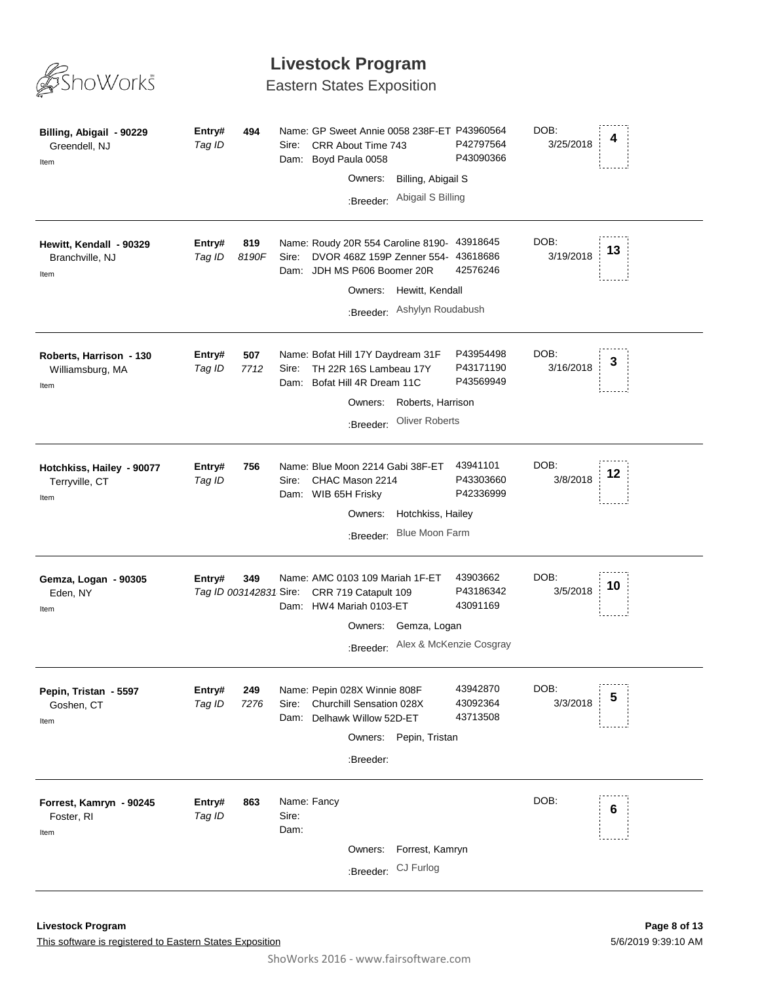

Eastern States Exposition

| Billing, Abigail - 90229<br>Greendell, NJ<br>Item   | 494<br>Entry#<br>Tag ID                 | Name: GP Sweet Annie 0058 238F-ET P43960564<br>P42797564<br>CRR About Time 743<br>Sire:<br>P43090366<br>Boyd Paula 0058<br>Dam:<br>Owners:<br>Billing, Abigail S<br>Abigail S Billing<br>:Breeder:                   | DOB:<br>4<br>3/25/2018  |
|-----------------------------------------------------|-----------------------------------------|----------------------------------------------------------------------------------------------------------------------------------------------------------------------------------------------------------------------|-------------------------|
| Hewitt, Kendall - 90329<br>Branchville, NJ<br>Item  | 819<br>Entry#<br>Tag ID<br>8190F        | Name: Roudy 20R 554 Caroline 8190- 43918645<br>DVOR 468Z 159P Zenner 554- 43618686<br>Sire:<br>42576246<br>JDH MS P606 Boomer 20R<br>Dam:<br>Hewitt, Kendall<br>Owners:<br>Ashylyn Roudabush<br>:Breeder:            | DOB:<br>13<br>3/19/2018 |
| Roberts, Harrison - 130<br>Williamsburg, MA<br>Item | 507<br>Entry#<br>Tag ID<br>7712         | P43954498<br>Name: Bofat Hill 17Y Daydream 31F<br>P43171190<br>TH 22R 16S Lambeau 17Y<br>Sire:<br>P43569949<br>Bofat Hill 4R Dream 11C<br>Dam:<br>Roberts, Harrison<br>Owners:<br><b>Oliver Roberts</b><br>:Breeder: | DOB:<br>3<br>3/16/2018  |
| Hotchkiss, Hailey - 90077<br>Terryville, CT<br>Item | 756<br>Entry#<br>Tag ID                 | 43941101<br>Name: Blue Moon 2214 Gabi 38F-ET<br>P43303660<br>Sire:<br>CHAC Mason 2214<br>P42336999<br>Dam: WIB 65H Frisky<br>Owners:<br>Hotchkiss, Hailey<br><b>Blue Moon Farm</b><br>:Breeder:                      | DOB:<br>12<br>3/8/2018  |
| Gemza, Logan - 90305<br>Eden, NY<br>Item            | 349<br>Entry#<br>Tag ID 003142831 Sire: | 43903662<br>Name: AMC 0103 109 Mariah 1F-ET<br>P43186342<br>CRR 719 Catapult 109<br>43091169<br>Dam: HW4 Mariah 0103-ET<br>Gemza, Logan<br>Owners:<br>:Breeder: Alex & McKenzie Cosgray                              | DOB:<br>10<br>3/5/2018  |
| Pepin, Tristan - 5597<br>Goshen, CT<br>Item         | 249<br>Entry#<br>Tag ID<br>7276         | 43942870<br>Name: Pepin 028X Winnie 808F<br>43092364<br>Churchill Sensation 028X<br>Sire:<br>43713508<br>Dam: Delhawk Willow 52D-ET<br>Owners: Pepin, Tristan<br>:Breeder:                                           | DOB:<br>5<br>3/3/2018   |
| Forrest, Kamryn - 90245<br>Foster, RI<br>Item       | Entry#<br>863<br>Tag ID                 | Name: Fancy<br>Sire:<br>Dam:<br>Forrest, Kamryn<br>Owners:<br>:Breeder: CJ Furlog                                                                                                                                    | DOB:<br>6               |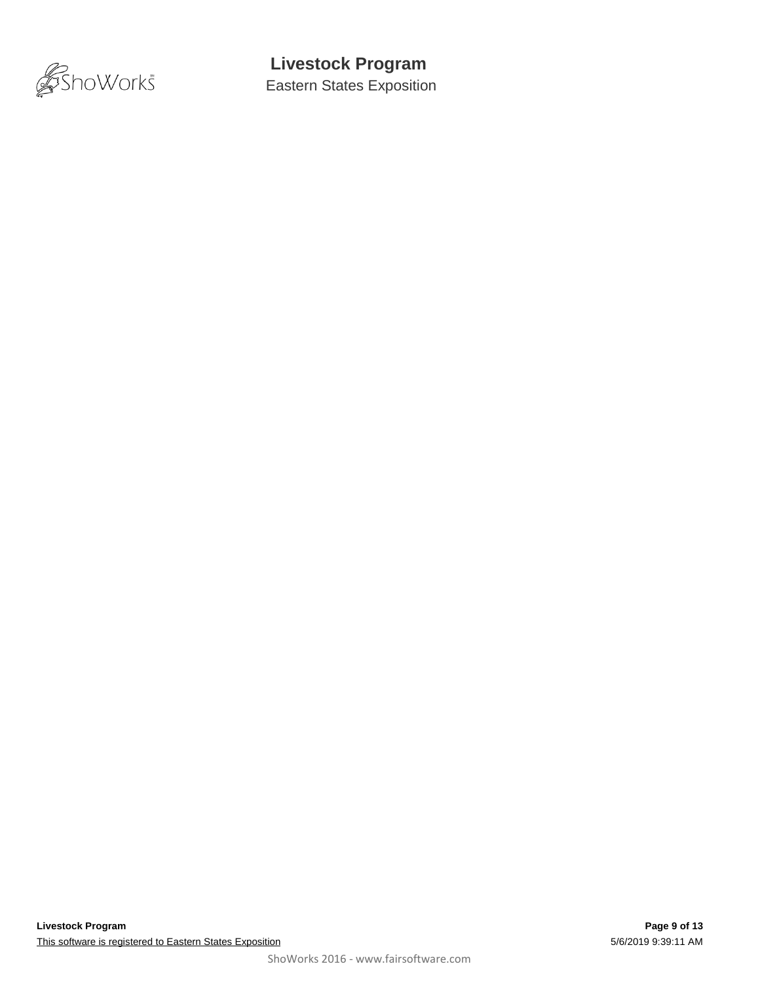

Eastern States Exposition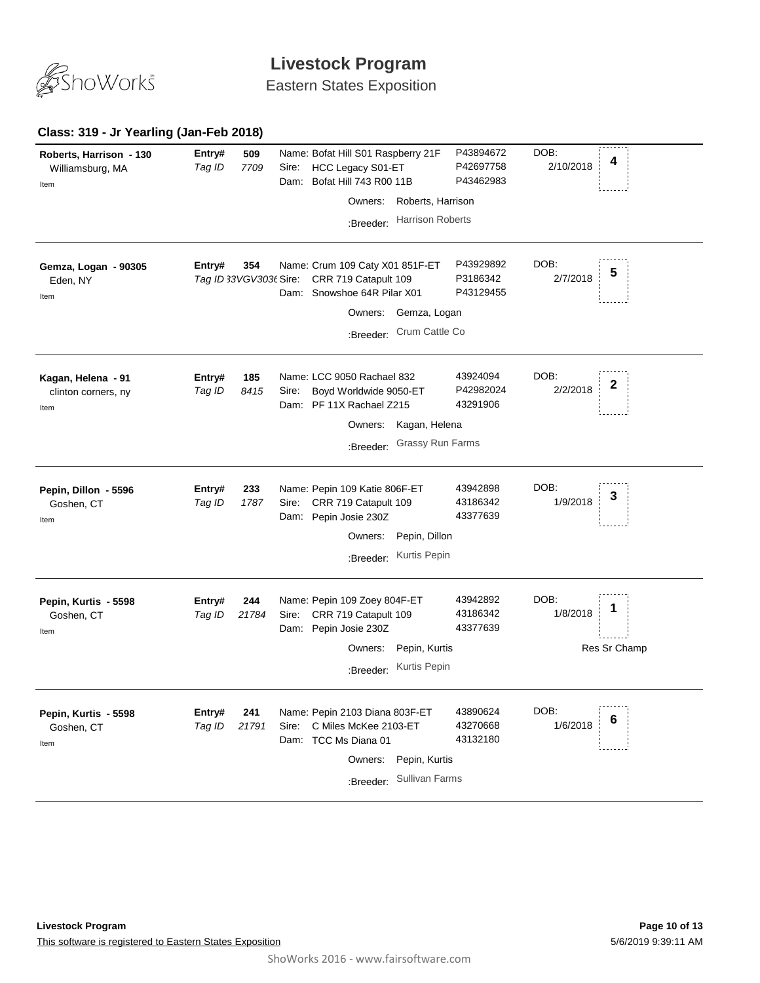

Eastern States Exposition

#### **Class: 319 - Jr Yearling (Jan-Feb 2018)**

| Roberts, Harrison - 130<br>Williamsburg, MA<br>Item | Entry#<br>Tag ID | 509<br>7709                   | Sire:<br>Dam: | Name: Bofat Hill S01 Raspberry 21F<br>HCC Legacy S01-ET<br>Bofat Hill 743 R00 11B                 |                         | P43894672<br>P42697758<br>P43462983 | DOB:<br>2/10/2018 | 4            |
|-----------------------------------------------------|------------------|-------------------------------|---------------|---------------------------------------------------------------------------------------------------|-------------------------|-------------------------------------|-------------------|--------------|
|                                                     |                  |                               |               | Owners:                                                                                           | Roberts, Harrison       |                                     |                   |              |
|                                                     |                  |                               |               | :Breeder:                                                                                         | <b>Harrison Roberts</b> |                                     |                   |              |
| Gemza, Logan - 90305<br>Eden, NY<br>Item            | Entry#           | 354<br>Tag ID 33VGV303t Sire: |               | Name: Crum 109 Caty X01 851F-ET<br>CRR 719 Catapult 109<br>Dam: Snowshoe 64R Pilar X01<br>Owners: | Gemza, Logan            | P43929892<br>P3186342<br>P43129455  | DOB:<br>2/7/2018  | 5            |
|                                                     |                  |                               |               | :Breeder:                                                                                         | Crum Cattle Co          |                                     |                   |              |
| Kagan, Helena - 91<br>clinton corners, ny<br>Item   | Entry#<br>Tag ID | 185<br>8415                   | Sire:         | Name: LCC 9050 Rachael 832<br>Boyd Worldwide 9050-ET<br>Dam: PF 11X Rachael Z215                  |                         | 43924094<br>P42982024<br>43291906   | DOB:<br>2/2/2018  | 2            |
|                                                     |                  |                               |               | Owners:                                                                                           | Kagan, Helena           |                                     |                   |              |
|                                                     |                  |                               |               | :Breeder:                                                                                         | Grassy Run Farms        |                                     |                   |              |
| Pepin, Dillon - 5596<br>Goshen, CT<br>Item          | Entry#<br>Tag ID | 233<br>1787                   | Sire:         | Name: Pepin 109 Katie 806F-ET<br>CRR 719 Catapult 109<br>Dam: Pepin Josie 230Z                    |                         | 43942898<br>43186342<br>43377639    | DOB:<br>1/9/2018  | 3            |
|                                                     |                  |                               |               | Owners:                                                                                           | Pepin, Dillon           |                                     |                   |              |
|                                                     |                  |                               |               | :Breeder:                                                                                         | Kurtis Pepin            |                                     |                   |              |
| Pepin, Kurtis - 5598<br>Goshen, CT<br>Item          | Entry#<br>Tag ID | 244<br>21784                  | Sire:         | Name: Pepin 109 Zoey 804F-ET<br>CRR 719 Catapult 109<br>Dam: Pepin Josie 230Z                     |                         | 43942892<br>43186342<br>43377639    | DOB:<br>1/8/2018  |              |
|                                                     |                  |                               |               | Owners:                                                                                           | Pepin, Kurtis           |                                     |                   | Res Sr Champ |
|                                                     |                  |                               |               | :Breeder:                                                                                         | <b>Kurtis Pepin</b>     |                                     |                   |              |
| Pepin, Kurtis - 5598<br>Goshen, CT<br>Item          | Entry#<br>Tag ID | 241<br>21791                  | Sire:         | Name: Pepin 2103 Diana 803F-ET<br>C Miles McKee 2103-ET<br>Dam: TCC Ms Diana 01                   |                         | 43890624<br>43270668<br>43132180    | DOB:<br>1/6/2018  | 6            |
|                                                     |                  |                               |               | Owners:                                                                                           | Pepin, Kurtis           |                                     |                   |              |
|                                                     |                  |                               |               | :Breeder:                                                                                         | Sullivan Farms          |                                     |                   |              |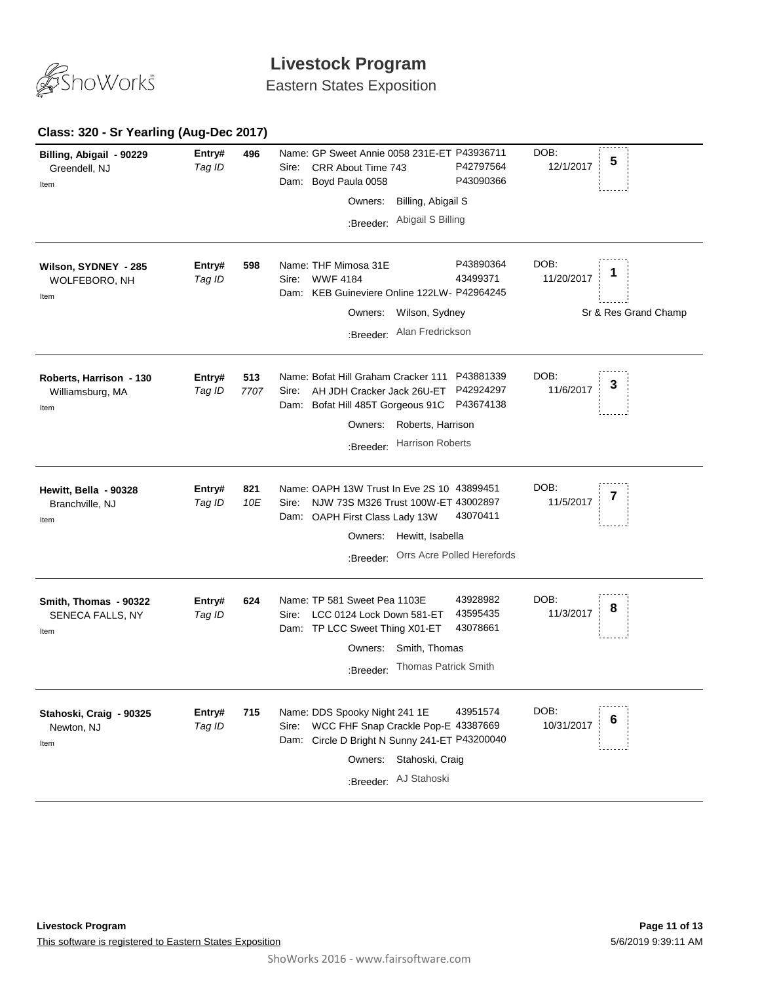

Eastern States Exposition

#### **496** *Tag ID* **Entry# 496** Name: GP Sweet Annie 0058 231E-ET P43936711 DOB:<br>Tag ID Sire: CRR About Time 743 P42797564 12/1/2017 5 Sire: CRR About Time 743 DOB: 12/1/2017 Dam: Boyd Paula 0058 P42797564 P43090366 **Billing, Abigail - 90229** Greendell, NJ Item Owners: Billing, Abigail S :Breeder: Abigail S Billing **598** *Tag ID* **Entry# 598** Name: THF Mimosa 31E P43890364 DOB: 1<br>*Tag ID* Sire: WWE 4184 Sire: WWF 4184 DOB: 11/20/2017 Dam: KEB Guineviere Online 122LW-P42964245 P43890364 43499371 **Wilson, SYDNEY - 285** WOLFEBORO, NH Sr & Res Grand Champ Item Owners: Wilson, Sydney :Breeder: Alan Fredrickson **513** *Tag ID 7707* Name: Bofat Hill Graham Cracker 111 P43881339 **Entry# <sup>3</sup>** Sire: AH JDH Cracker Jack 26U-ET P42924297 DOB: 11/6/2017 Dam: Bofat Hill 485T Gorgeous 91C P43674138 **Roberts, Harrison - 130** Williamsburg, MA Item Owners: Roberts, Harrison :Breeder: Harrison Roberts **821** *Tag ID 10E* Name: OAPH 13W Trust In Eve 2S 10 43899451 **Entry# <sup>7</sup>** Sire: NJW 73S M326 Trust 100W-ET 43002897 DOB: 11/5/2017 Dam: OAPH First Class Lady 13W 43070411 **Hewitt, Bella - 90328** Branchville, NJ Item Owners: Hewitt, Isabella :Breeder: Orrs Acre Polled Herefords **624** *Tag ID* Name: TP 581 Sweet Pea 1103E **Entry# <sup>8</sup>** Sire: LCC 0124 Lock Down 581-ET DOB: 11/3/2017 Dam: TP LCC Sweet Thing X01-ET 43928982 43595435 43078661 **Smith, Thomas - 90322** SENECA FALLS, NY Item Owners: Smith, Thomas :Breeder: Thomas Patrick Smith **715** *Tag ID* Name: DDS Spooky Night 241 1E **Entry# <sup>6</sup>** Sire: WCC FHF Snap Crackle Pop-E 43387669 DOB: 10/31/2017 Dam: Circle D Bright N Sunny 241-ET P43200040 43951574 **Stahoski, Craig - 90325** Newton, NJ Item Owners: Stahoski, Craig :Breeder: AJ Stahoski

#### **Class: 320 - Sr Yearling (Aug-Dec 2017)**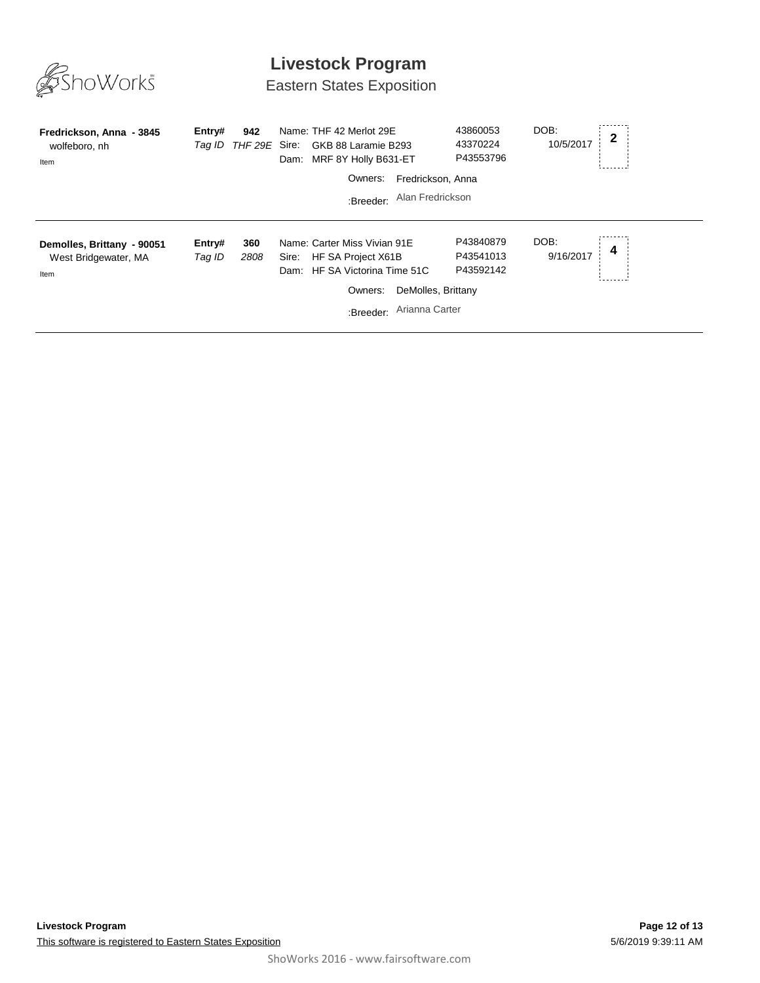